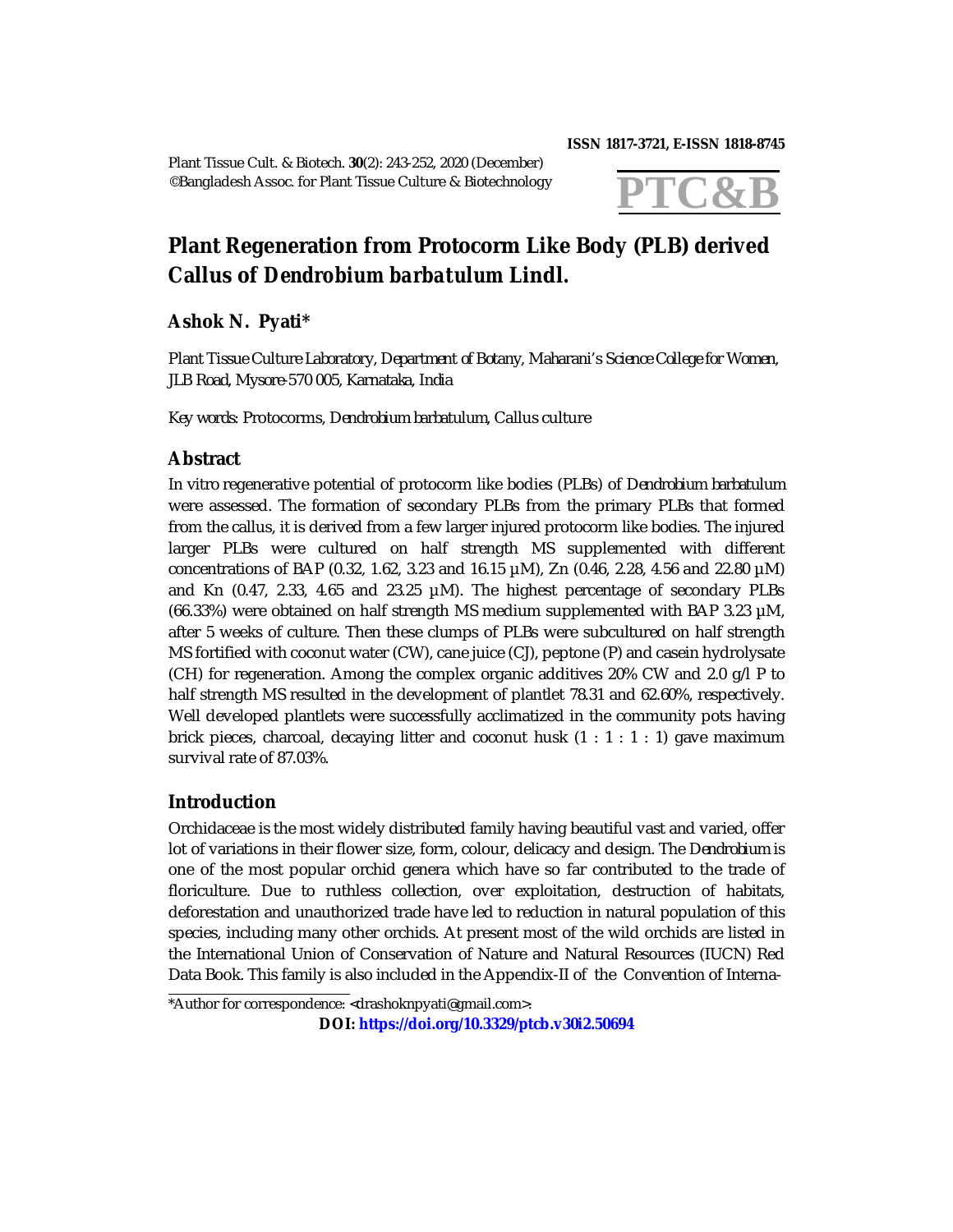**ISSN 1817-3721, E-ISSN 1818-8745** 

Plant Tissue Cult. & Biotech. **30**(2): 243-252, 2020 (December) ©Bangladesh Assoc. for Plant Tissue Culture & Biotechnology



# **Plant Regeneration from Protocorm Like Body (PLB) derived Callus of** *Dendrobium barbatulum* **Lindl.**

**Ashok N. Pyati\***

*Plant Tissue Culture Laboratory, Department of Botany, Maharani's Science College for Women, JLB Road, Mysore-570 005, Karnataka, India*

*Key words:* Protocorms, *Dendrobium barbatulum,* Callus culture

## **Abstract**

*In vitro* regenerative potential of protocorm like bodies (PLBs) of *Dendrobium barbatulum* were assessed. The formation of secondary PLBs from the primary PLBs that formed from the callus, it is derived from a few larger injured protocorm like bodies. The injured larger PLBs were cultured on half strength MS supplemented with different concentrations of BAP (0.32, 1.62, 3.23 and 16.15 µM), Zn (0.46, 2.28, 4.56 and 22.80 µM) and Kn (0.47, 2.33, 4.65 and 23.25 µM). The highest percentage of secondary PLBs (66.33%) were obtained on half strength MS medium supplemented with BAP 3.23 µM, after 5 weeks of culture. Then these clumps of PLBs were subcultured on half strength MS fortified with coconut water (CW), cane juice (CJ), peptone (P) and casein hydrolysate (CH) for regeneration. Among the complex organic additives 20% CW and 2.0 g/l P to half strength MS resulted in the development of plantlet 78.31 and 62.60%, respectively. Well developed plantlets were successfully acclimatized in the community pots having brick pieces, charcoal, decaying litter and coconut husk  $(1 : 1 : 1 : 1)$  gave maximum survival rate of 87.03%.

## **Introduction**

Orchidaceae is the most widely distributed family having beautiful vast and varied, offer lot of variations in their flower size, form, colour, delicacy and design. The *Dendrobium* is one of the most popular orchid genera which have so far contributed to the trade of floriculture. Due to ruthless collection, over exploitation, destruction of habitats, deforestation and unauthorized trade have led to reduction in natural population of this species, including many other orchids. At present most of the wild orchids are listed in the International Union of Conservation of Nature and Natural Resources (IUCN) Red Data Book. This family is also included in the Appendix-II of the Convention of Interna-

\*Author for correspondence: <[drashoknpyati@gmail.com>](mailto:drashoknpyati@gmail.com).

**DOI: <https://doi.org/10.3329/ptcb.v30i2.50694>**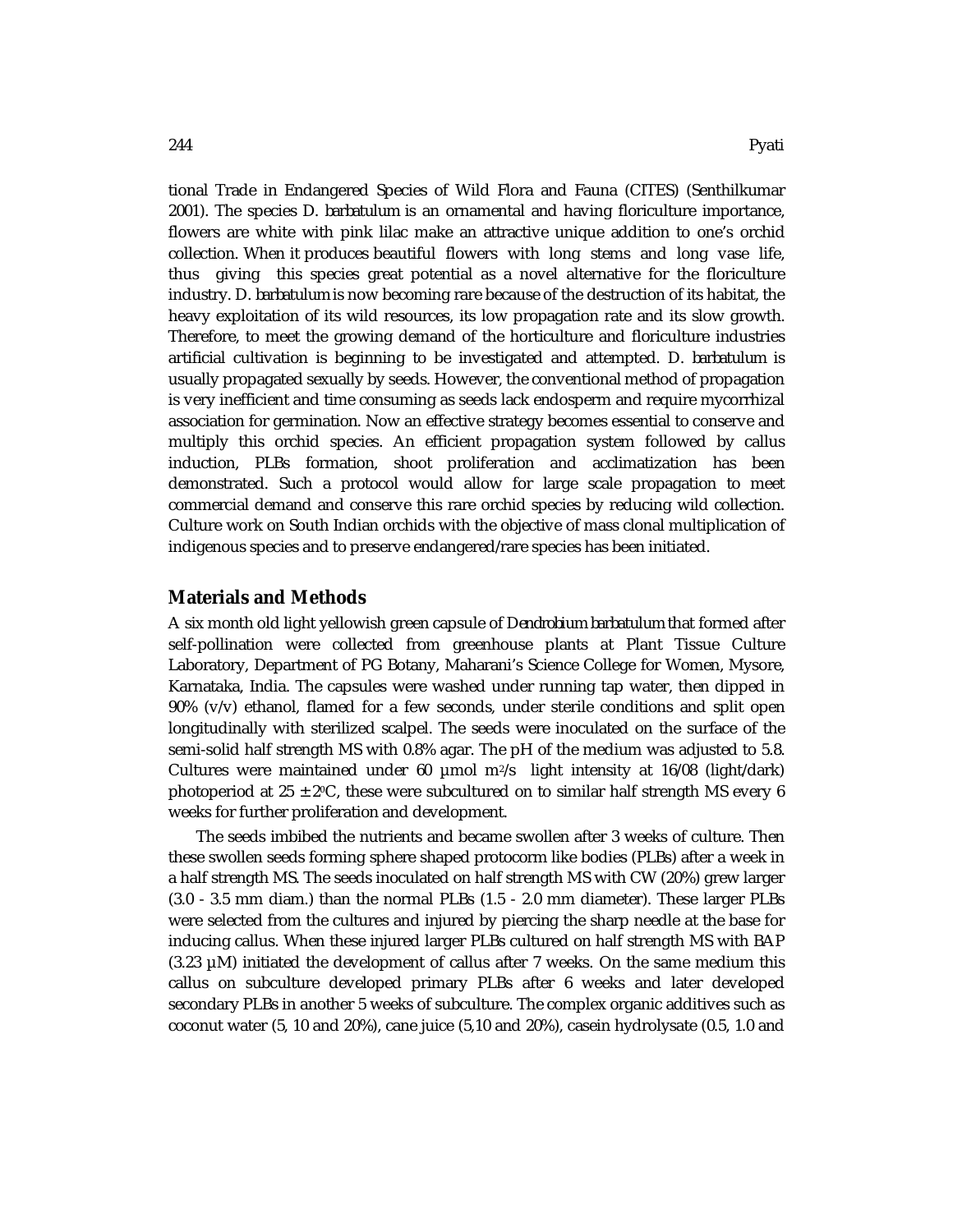tional Trade in Endangered Species of Wild Flora and Fauna (CITES) (Senthilkumar 2001). The species *D. barbatulum* is an ornamental and having floriculture importance, flowers are white with pink lilac make an attractive unique addition to one's orchid collection. When it produces beautiful flowers with long stems and long vase life, thus giving this species great potential as a novel alternative for the floriculture industry. *D. barbatulum* is now becoming rare because of the destruction of its habitat, the heavy exploitation of its wild resources, its low propagation rate and its slow growth. Therefore, to meet the growing demand of the horticulture and floriculture industries artificial cultivation is beginning to be investigated and attempted. *D. barbatulum* is usually propagated sexually by seeds. However, the conventional method of propagation is very inefficient and time consuming as seeds lack endosperm and require mycorrhizal association for germination. Now an effective strategy becomes essential to conserve and multiply this orchid species. An efficient propagation system followed by callus induction, PLBs formation, shoot proliferation and acclimatization has been demonstrated. Such a protocol would allow for large scale propagation to meet commercial demand and conserve this rare orchid species by reducing wild collection. Culture work on South Indian orchids with the objective of mass clonal multiplication of indigenous species and to preserve endangered/rare species has been initiated.

#### **Materials and Methods**

A six month old light yellowish green capsule of *Dendrobium barbatulum* that formed after self-pollination were collected from greenhouse plants at Plant Tissue Culture Laboratory, Department of PG Botany, Maharani's Science College for Women, Mysore, Karnataka, India. The capsules were washed under running tap water, then dipped in 90% (v/v) ethanol, flamed for a few seconds, under sterile conditions and split open longitudinally with sterilized scalpel. The seeds were inoculated on the surface of the semi-solid half strength MS with 0.8% agar. The pH of the medium was adjusted to 5.8. Cultures were maintained under 60 µmol m2/s light intensity at 16/08 (light/dark) photoperiod at  $25 \pm 2^{\circ}$ C, these were subcultured on to similar half strength MS every 6 weeks for further proliferation and development.

The seeds imbibed the nutrients and became swollen after 3 weeks of culture. Then these swollen seeds forming sphere shaped protocorm like bodies (PLBs) after a week in a half strength MS. The seeds inoculated on half strength MS with CW (20%) grew larger (3.0 - 3.5 mm diam.) than the normal PLBs (1.5 - 2.0 mm diameter). These larger PLBs were selected from the cultures and injured by piercing the sharp needle at the base for inducing callus. When these injured larger PLBs cultured on half strength MS with BAP (3.23 µM) initiated the development of callus after 7 weeks. On the same medium this callus on subculture developed primary PLBs after 6 weeks and later developed secondary PLBs in another 5 weeks of subculture. The complex organic additives such as coconut water (5, 10 and 20%), cane juice (5,10 and 20%), casein hydrolysate (0.5, 1.0 and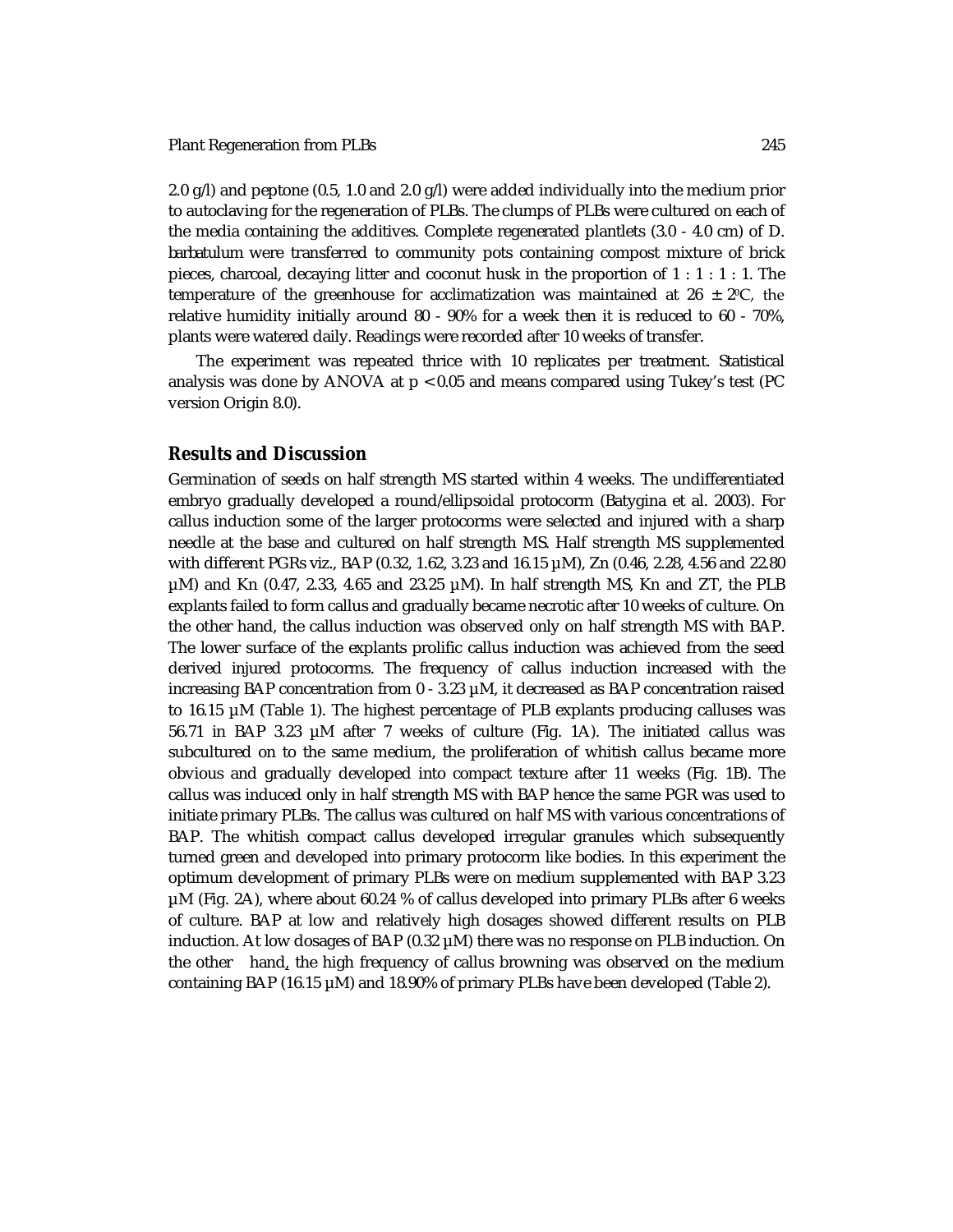#### Plant Regeneration from PLBs 245

2.0 g/l) and peptone (0.5, 1.0 and 2.0 g/l) were added individually into the medium prior to autoclaving for the regeneration of PLBs. The clumps of PLBs were cultured on each of the media containing the additives. Complete regenerated plantlets (3.0 - 4.0 cm) of *D. barbatulum* were transferred to community pots containing compost mixture of brick pieces, charcoal, decaying litter and coconut husk in the proportion of 1 : 1 : 1 : 1. The temperature of the greenhouse for acclimatization was maintained at 26  $\pm$  2<sup>o</sup>C, the relative humidity initially around 80 - 90% for a week then it is reduced to 60 - 70%, plants were watered daily. Readings were recorded after 10 weeks of transfer.

The experiment was repeated thrice with 10 replicates per treatment. Statistical analysis was done by ANOVA at p < 0.05 and means compared using Tukey's test (PC version Origin 8.0).

### **Results and Discussion**

Germination of seeds on half strength MS started within 4 weeks. The undifferentiated embryo gradually developed a round/ellipsoidal protocorm (Batygina et al. 2003). For callus induction some of the larger protocorms were selected and injured with a sharp needle at the base and cultured on half strength MS. Half strength MS supplemented with different PGRs *viz.,* BAP (0.32, 1.62, 3.23 and 16.15 µM), Zn (0.46, 2.28, 4.56 and 22.80 µM) and Kn (0.47, 2.33, 4.65 and 23.25 µM). In half strength MS, Kn and ZT, the PLB explants failed to form callus and gradually became necrotic after 10 weeks of culture. On the other hand, the callus induction was observed only on half strength MS with BAP. The lower surface of the explants prolific callus induction was achieved from the seed derived injured protocorms. The frequency of callus induction increased with the increasing BAP concentration from 0 - 3.23 µM, it decreased as BAP concentration raised to 16.15 µM (Table 1). The highest percentage of PLB explants producing calluses was 56.71 in BAP 3.23 µM after 7 weeks of culture (Fig. 1A). The initiated callus was subcultured on to the same medium, the proliferation of whitish callus became more obvious and gradually developed into compact texture after 11 weeks (Fig. 1B). The callus was induced only in half strength MS with BAP hence the same PGR was used to initiate primary PLBs. The callus was cultured on half MS with various concentrations of BAP. The whitish compact callus developed irregular granules which subsequently turned green and developed into primary protocorm like bodies. In this experiment the optimum development of primary PLBs were on medium supplemented with BAP 3.23 µM (Fig. 2A), where about 60.24 % of callus developed into primary PLBs after 6 weeks of culture. BAP at low and relatively high dosages showed different results on PLB induction. At low dosages of BAP (0.32 µM) there was no response on PLB induction. On the other hand, the high frequency of callus browning was observed on the medium containing BAP (16.15 µM) and 18.90% of primary PLBs have been developed (Table 2).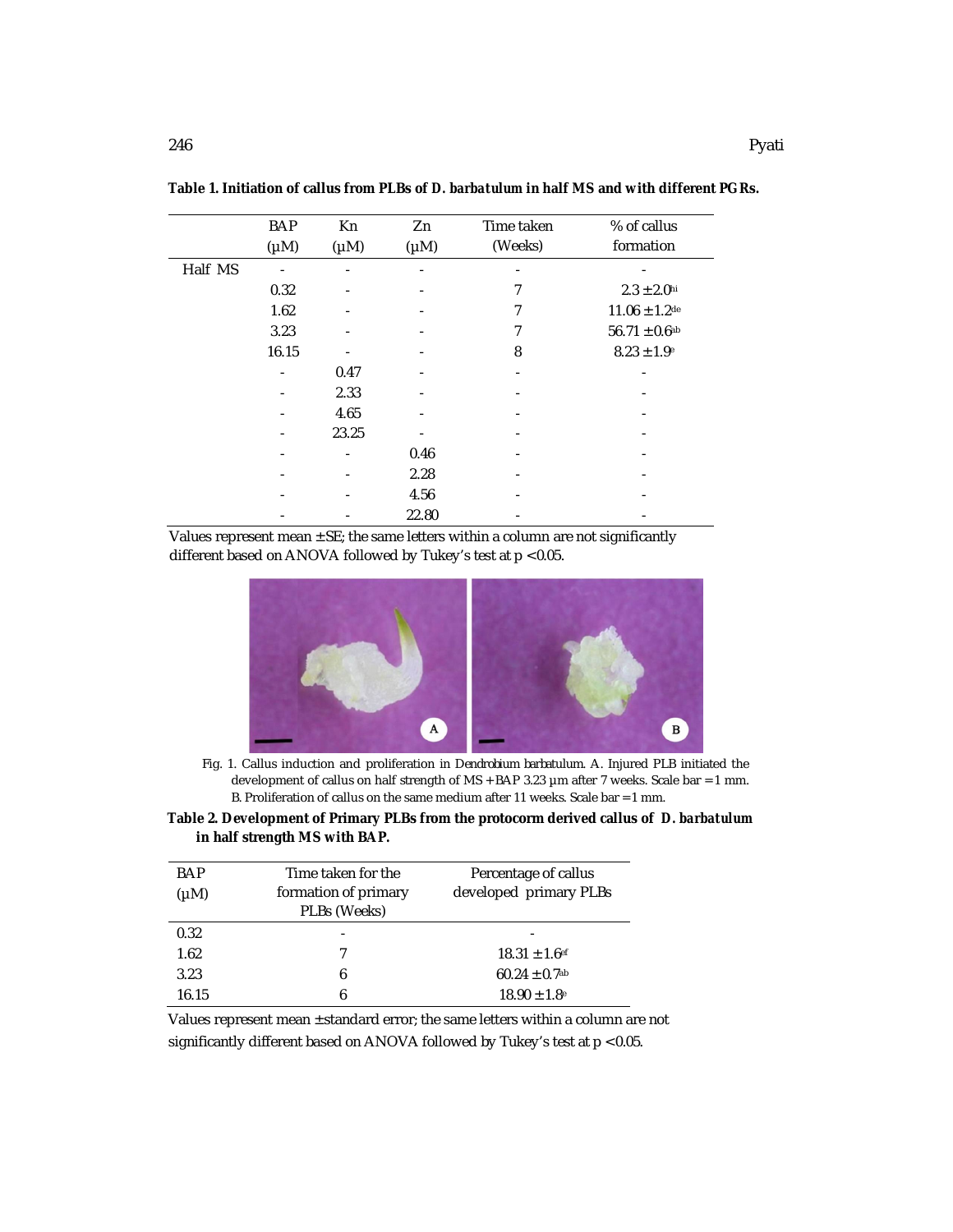|         | <b>BAP</b><br>$(\mu M)$ | Kn<br>$(\mu M)$          | Zn<br>$(\mu M)$ | Time taken<br>(Weeks) | % of callus<br>formation |
|---------|-------------------------|--------------------------|-----------------|-----------------------|--------------------------|
| Half MS |                         |                          |                 |                       |                          |
|         | 0.32                    |                          |                 | 7                     | $2.3 \pm 2.0$ hi         |
|         | 1.62                    |                          |                 |                       | $11.06 \pm 1.2$ de       |
|         | 3.23                    |                          |                 |                       | $56.71 \pm 0.6^{ab}$     |
|         | 16.15                   |                          |                 | 8                     | $8.23 \pm 1.9^e$         |
|         |                         | 0.47                     |                 |                       |                          |
|         |                         | 2.33                     |                 |                       |                          |
|         |                         | 4.65                     |                 |                       |                          |
|         |                         | 23.25                    |                 |                       |                          |
|         |                         | $\overline{\phantom{a}}$ | 0.46            |                       |                          |
|         |                         |                          | 2.28            |                       |                          |
|         |                         |                          | 4.56            |                       |                          |
|         |                         |                          | 22.80           |                       |                          |

**Table 1. Initiation of callus from PLBs of** *D. barbatulum* **in half MS and with different PGRs.**

Values represent mean  $\pm$  SE; the same letters within a column are not significantly different based on ANOVA followed by Tukey's test at p < 0.05.



Fig. 1. Callus induction and proliferation in *Dendrobium barbatulum*. A. Injured PLB initiated the development of callus on half strength of MS + BAP 3.23 µm after 7 weeks. Scale bar = 1 mm. B. Proliferation of callus on the same medium after 11 weeks. Scale bar = 1 mm.

**Table 2. Development of Primary PLBs from the protocorm derived callus of** *D. barbatulum* **in half strength MS with BAP.**

| <b>BAP</b> | Time taken for the   | Percentage of callus          |
|------------|----------------------|-------------------------------|
| $(\mu M)$  | formation of primary | developed primary PLBs        |
|            | PLBs (Weeks)         |                               |
| 0.32       |                      |                               |
| 1.62       |                      | $18.31 \pm 1.6$ <sup>ef</sup> |
| 3.23       | 6                    | $60.24 \pm 0.7$ <sup>ab</sup> |
| 16.15      | 6                    | $18.90 \pm 1.8$ <sup>e</sup>  |

Values represent mean ± standard error; the same letters within a column are not significantly different based on ANOVA followed by Tukey's test at p < 0.05.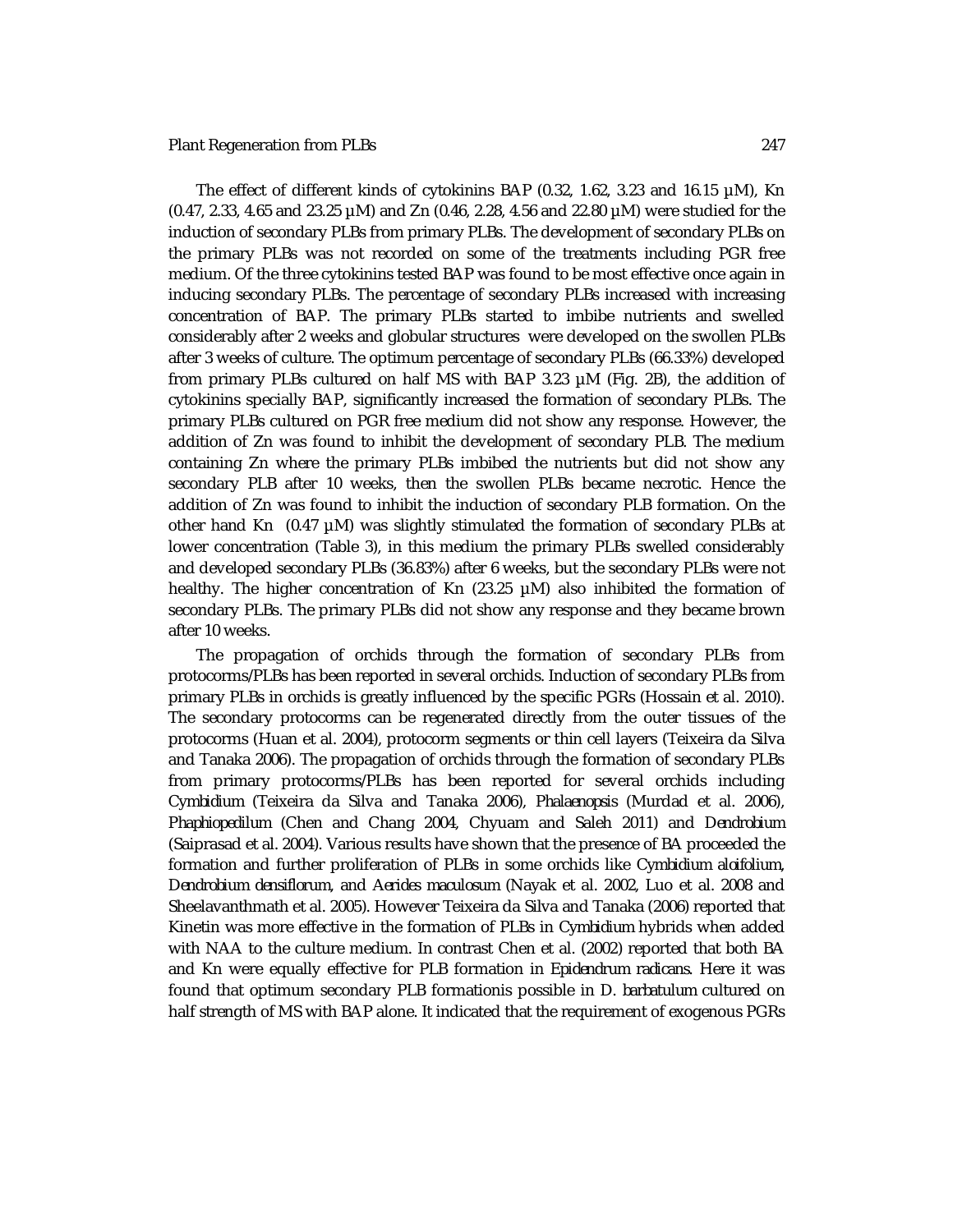The effect of different kinds of cytokinins BAP (0.32, 1.62, 3.23 and 16.15 µM), Kn (0.47, 2.33, 4.65 and 23.25 µM) and Zn (0.46, 2.28, 4.56 and 22.80 µM) were studied for the induction of secondary PLBs from primary PLBs. The development of secondary PLBs on the primary PLBs was not recorded on some of the treatments including PGR free medium. Of the three cytokinins tested BAP was found to be most effective once again in inducing secondary PLBs. The percentage of secondary PLBs increased with increasing concentration of BAP. The primary PLBs started to imbibe nutrients and swelled considerably after 2 weeks and globular structures were developed on the swollen PLBs after 3 weeks of culture. The optimum percentage of secondary PLBs (66.33%) developed from primary PLBs cultured on half MS with BAP 3.23 µM (Fig. 2B), the addition of cytokinins specially BAP, significantly increased the formation of secondary PLBs. The primary PLBs cultured on PGR free medium did not show any response. However, the addition of Zn was found to inhibit the development of secondary PLB. The medium containing Zn where the primary PLBs imbibed the nutrients but did not show any secondary PLB after 10 weeks, then the swollen PLBs became necrotic. Hence the addition of Zn was found to inhibit the induction of secondary PLB formation. On the other hand Kn (0.47 µM) was slightly stimulated the formation of secondary PLBs at lower concentration (Table 3), in this medium the primary PLBs swelled considerably and developed secondary PLBs (36.83%) after 6 weeks, but the secondary PLBs were not healthy. The higher concentration of Kn (23.25 µM) also inhibited the formation of secondary PLBs. The primary PLBs did not show any response and they became brown after 10 weeks.

The propagation of orchids through the formation of secondary PLBs from protocorms/PLBs has been reported in several orchids. Induction of secondary PLBs from primary PLBs in orchids is greatly influenced by the specific PGRs (Hossain et al. 2010). The secondary protocorms can be regenerated directly from the outer tissues of the protocorms (Huan et al. 2004), protocorm segments or thin cell layers (Teixeira da Silva and Tanaka 2006). The propagation of orchids through the formation of secondary PLBs from primary protocorms/PLBs has been reported for several orchids including *Cymbidium* (Teixeira da Silva and Tanaka 2006), *Phalaenopsis* (Murdad et al. 2006), *Phaphiopedilum* (Chen and Chang 2004, Chyuam and Saleh 2011) and *Dendrobium* (Saiprasad et al. 2004). Various results have shown that the presence of BA proceeded the formation and further proliferation of PLBs in some orchids like *Cymbidium aloifolium, Dendrobium densiflorum,* and *Aerides maculosum* (Nayak et al. 2002, Luo et al. 2008 and Sheelavanthmath et al. 2005). However Teixeira da Silva and Tanaka (2006) reported that Kinetin was more effective in the formation of PLBs in *Cymbidium* hybrids when added with NAA to the culture medium. In contrast Chen et al. (2002) reported that both BA and Kn were equally effective for PLB formation in *Epidendrum radicans*. Here it was found that optimum secondary PLB formationis possible in *D. barbatulum* cultured on half strength of MS with BAP alone. It indicated that the requirement of exogenous PGRs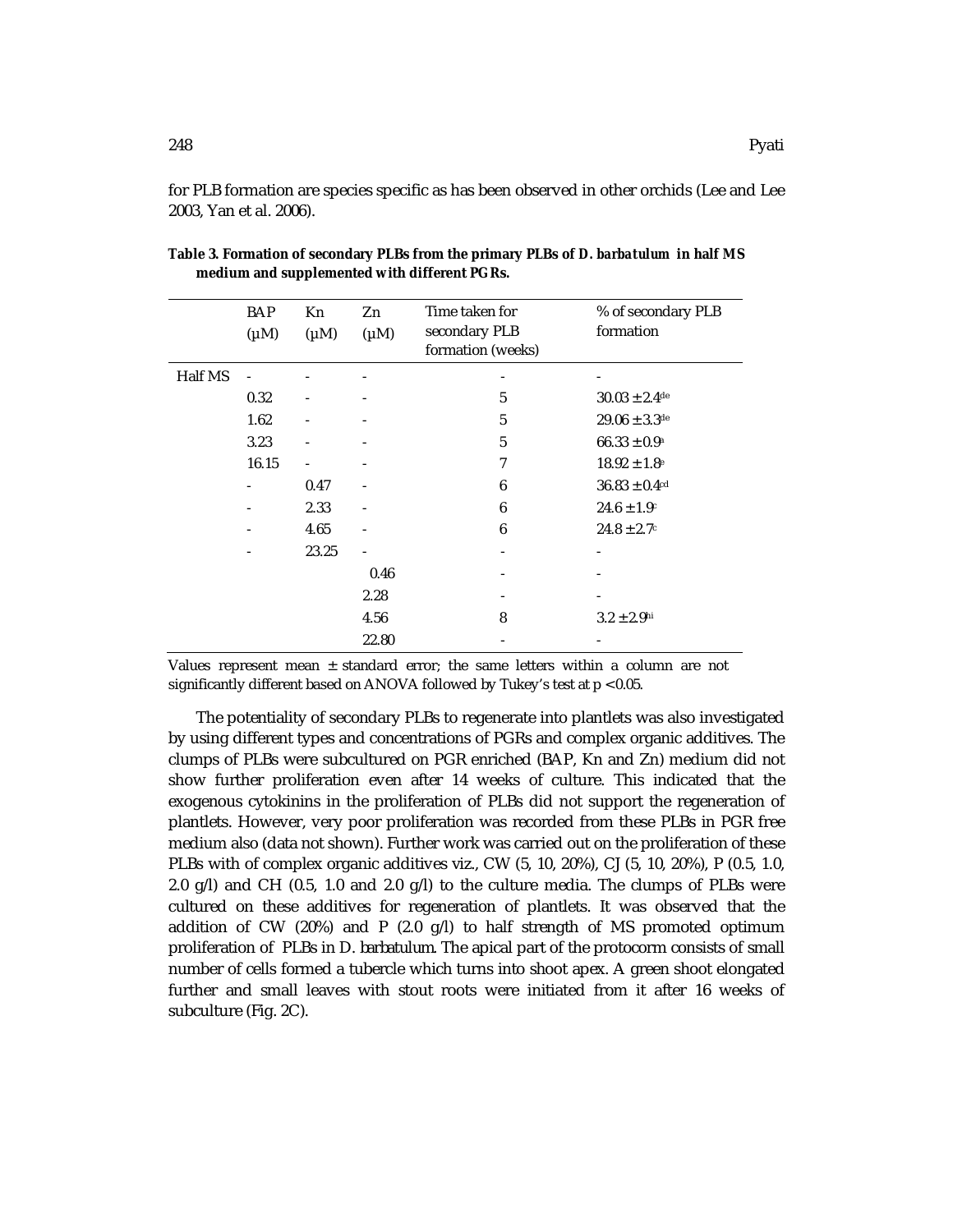for PLB formation are species specific as has been observed in other orchids (Lee and Lee 2003, Yan et al. 2006).

|         | <b>BAP</b><br>$(\mu M)$ | Kn<br>$(\mu M)$ | Zn<br>$(\mu M)$          | Time taken for<br>secondary PLB<br>formation (weeks) | % of secondary PLB<br>formation |
|---------|-------------------------|-----------------|--------------------------|------------------------------------------------------|---------------------------------|
| Half MS |                         |                 |                          |                                                      |                                 |
|         | 0.32                    |                 |                          | 5                                                    | $30.03 \pm 2.4$ de              |
|         | 1.62                    |                 | ٠                        | 5                                                    | $29.06 \pm 3.3$ de              |
|         | 3.23                    |                 |                          | 5                                                    | $66.33 \pm 0.9^{\circ}$         |
|         | 16.15                   |                 |                          | 7                                                    | $18.92 \pm 1.8$ <sup>e</sup>    |
|         | ۰                       | 0.47            | $\overline{\phantom{0}}$ | 6                                                    | $36.83 \pm 0.4$ cd              |
|         |                         | 2.33            |                          | 6                                                    | $24.6 \pm 1.9^{\circ}$          |
|         |                         | 4.65            |                          | 6                                                    | $24.8 \pm 2.7$ c                |
|         |                         | 23.25           | $\overline{a}$           |                                                      |                                 |
|         |                         |                 | 0.46                     |                                                      |                                 |
|         |                         |                 | 2.28                     |                                                      |                                 |
|         |                         |                 | 4.56                     | 8                                                    | $3.2 \pm 2.9$ hi                |
|         |                         |                 | 22.80                    |                                                      |                                 |

**Table 3. Formation of secondary PLBs from the primary PLBs of** *D. barbatulum* **in half MS medium and supplemented with different PGRs.**

Values represent mean  $\pm$  standard error; the same letters within a column are not significantly different based on ANOVA followed by Tukey's test at p < 0.05.

The potentiality of secondary PLBs to regenerate into plantlets was also investigated by using different types and concentrations of PGRs and complex organic additives. The clumps of PLBs were subcultured on PGR enriched (BAP, Kn and Zn) medium did not show further proliferation even after 14 weeks of culture. This indicated that the exogenous cytokinins in the proliferation of PLBs did not support the regeneration of plantlets. However, very poor proliferation was recorded from these PLBs in PGR free medium also (data not shown). Further work was carried out on the proliferation of these PLBs with of complex organic additives *viz.,* CW (5, 10, 20%), CJ (5, 10, 20%), P (0.5, 1.0, 2.0 g/l) and CH (0.5, 1.0 and 2.0 g/l) to the culture media. The clumps of PLBs were cultured on these additives for regeneration of plantlets. It was observed that the addition of CW (20%) and P (2.0 g/l) to half strength of MS promoted optimum proliferation of PLBs in *D. barbatulum*. The apical part of the protocorm consists of small number of cells formed a tubercle which turns into shoot apex. A green shoot elongated further and small leaves with stout roots were initiated from it after 16 weeks of subculture (Fig. 2C).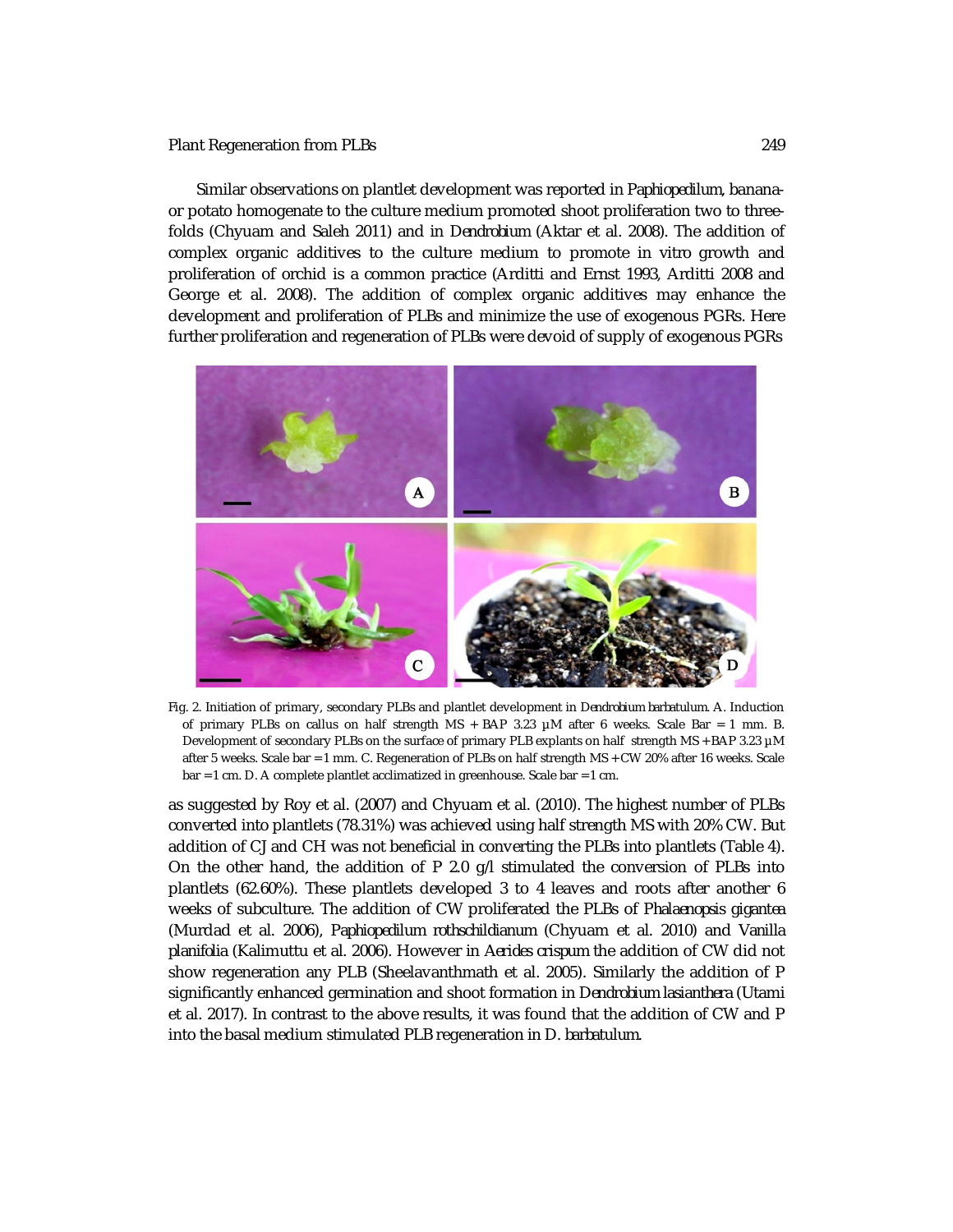#### Plant Regeneration from PLBs 249

Similar observations on plantlet development was reported in *Paphiopedilum*, bananaor potato homogenate to the culture medium promoted shoot proliferation two to threefolds (Chyuam and Saleh 2011) and in *Dendrobium* (Aktar et al. 2008). The addition of complex organic additives to the culture medium to promote *in vitro* growth and proliferation of orchid is a common practice (Arditti and Ernst 1993, Arditti 2008 and George et al. 2008). The addition of complex organic additives may enhance the development and proliferation of PLBs and minimize the use of exogenous PGRs. Here further proliferation and regeneration of PLBs were devoid of supply of exogenous PGRs



Fig. 2. Initiation of primary, secondary PLBs and plantlet development in *Dendrobium barbatulum*. A. Induction of primary PLBs on callus on half strength MS + BAP 3.23 µM after 6 weeks. Scale Bar = 1 mm. B. Development of secondary PLBs on the surface of primary PLB explants on half strength MS + BAP 3.23 µM after 5 weeks. Scale bar = 1 mm. C. Regeneration of PLBs on half strength MS + CW 20% after 16 weeks. Scale bar = 1 cm. D. A complete plantlet acclimatized in greenhouse. Scale bar = 1 cm.

as suggested by Roy et al. (2007) and Chyuam et al. (2010). The highest number of PLBs converted into plantlets (78.31%) was achieved using half strength MS with 20% CW. But addition of CJ and CH was not beneficial in converting the PLBs into plantlets (Table 4). On the other hand, the addition of P 2.0 g/l stimulated the conversion of PLBs into plantlets (62.60%). These plantlets developed 3 to 4 leaves and roots after another 6 weeks of subculture. The addition of CW proliferated the PLBs of *Phalaenopsis gigantea* (Murdad et al. 2006), *Paphiopedilum rothschildianum* (Chyuam et al. 2010) and *Vanilla planifolia* (Kalimuttu et al. 2006). However in *Aerides crispum* the addition of CW did not show regeneration any PLB (Sheelavanthmath et al. 2005). Similarly the addition of P significantly enhanced germination and shoot formation in *Dendrobium lasianthera* (Utami et al. 2017). In contrast to the above results, it was found that the addition of CW and P into the basal medium stimulated PLB regeneration in *D. barbatulum*.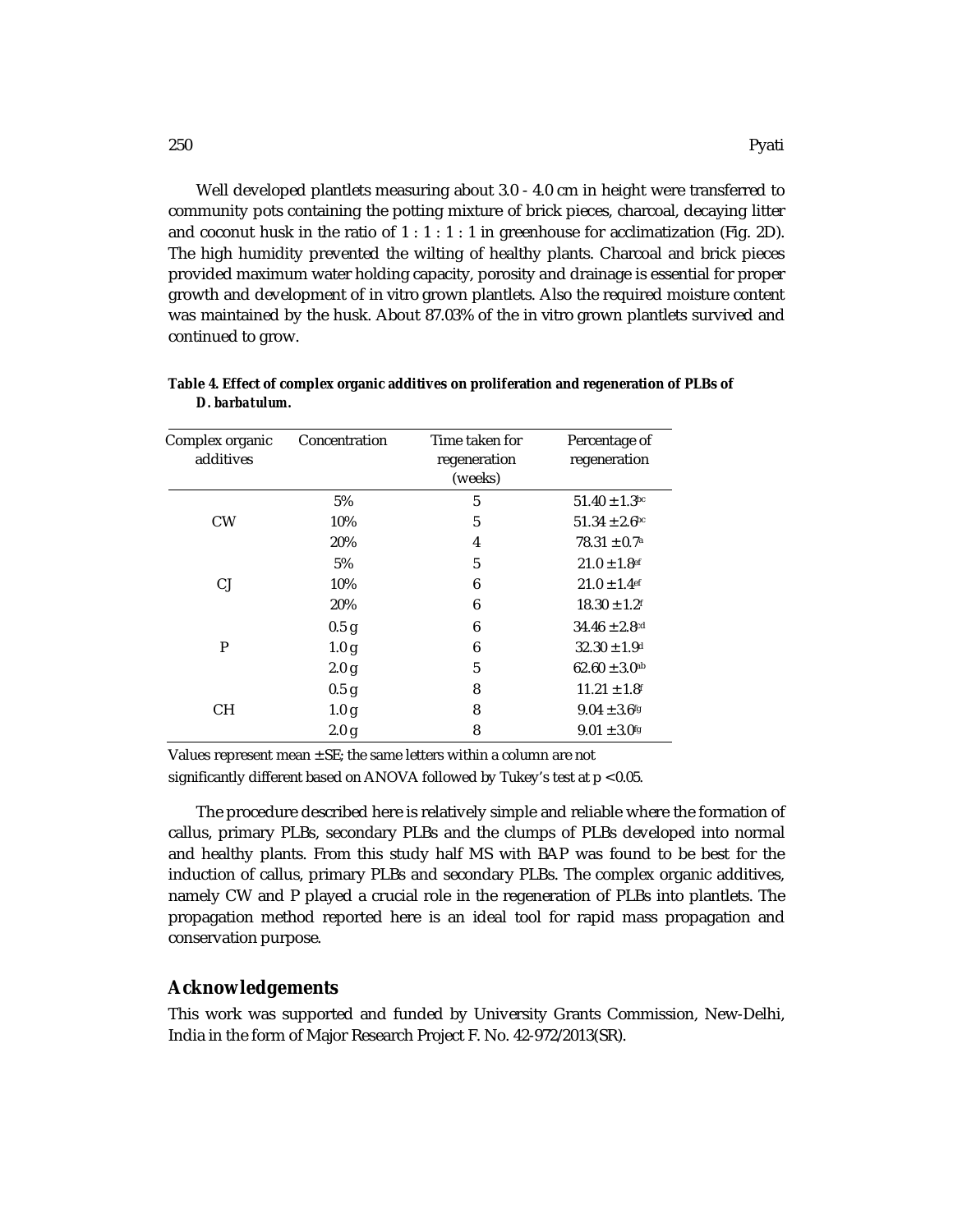Well developed plantlets measuring about 3.0 - 4.0 cm in height were transferred to community pots containing the potting mixture of brick pieces, charcoal, decaying litter and coconut husk in the ratio of  $1:1:1:1$  in greenhouse for acclimatization (Fig. 2D). The high humidity prevented the wilting of healthy plants. Charcoal and brick pieces provided maximum water holding capacity, porosity and drainage is essential for proper growth and development of *in vitro* grown plantlets. Also the required moisture content was maintained by the husk. About 87.03% of the *in vitro* grown plantlets survived and continued to grow.

| Complex organic<br>additives | Concentration    | Time taken for<br>regeneration<br>(weeks) | Percentage of<br>regeneration |
|------------------------------|------------------|-------------------------------------------|-------------------------------|
|                              | 5%               | 5                                         | $51.40 \pm 1.3$ bc            |
| <b>CW</b>                    | 10%              | 5                                         | $51.34 \pm 2.6$ bc            |
|                              | 20%              | 4                                         | $78.31 \pm 0.7^{\circ}$       |
|                              | 5%               | 5                                         | $21.0 \pm 1.8$ ef             |
| C.I                          | 10%              | 6                                         | $21.0 \pm 1.4$ <sup>ef</sup>  |
|                              | 20%              | 6                                         | $18.30 \pm 1.2$ <sup>f</sup>  |
|                              | 0.5 <sub>g</sub> | 6                                         | $34.46 \pm 2.8$ <sup>cd</sup> |
| P                            | 1.0 <sub>g</sub> | 6                                         | $32.30 \pm 1.9$ <sup>d</sup>  |
|                              | 2.0 <sub>g</sub> | 5                                         | $62.60 \pm 3.0$ <sup>ab</sup> |
|                              | 0.5 <sub>g</sub> | 8                                         | $11.21 \pm 1.8$ f             |
| <b>CH</b>                    | 1.0 <sub>g</sub> | 8                                         | $9.04 \pm 3.6$ <sup>fg</sup>  |
|                              | 2.0 <sub>g</sub> | 8                                         | $9.01 \pm 3.0$ fg             |

| Table 4. Effect of complex organic additives on proliferation and regeneration of PLBs of |  |
|-------------------------------------------------------------------------------------------|--|
| D. barbatulum.                                                                            |  |

Values represent mean  $\pm$  SE; the same letters within a column are not

significantly different based on ANOVA followed by Tukey's test at p < 0.05.

The procedure described here is relatively simple and reliable where the formation of callus, primary PLBs, secondary PLBs and the clumps of PLBs developed into normal and healthy plants. From this study half MS with BAP was found to be best for the induction of callus, primary PLBs and secondary PLBs. The complex organic additives, namely CW and P played a crucial role in the regeneration of PLBs into plantlets. The propagation method reported here is an ideal tool for rapid mass propagation and conservation purpose.

#### **Acknowledgements**

This work was supported and funded by University Grants Commission, New-Delhi, India in the form of Major Research Project F. No. 42-972/2013(SR).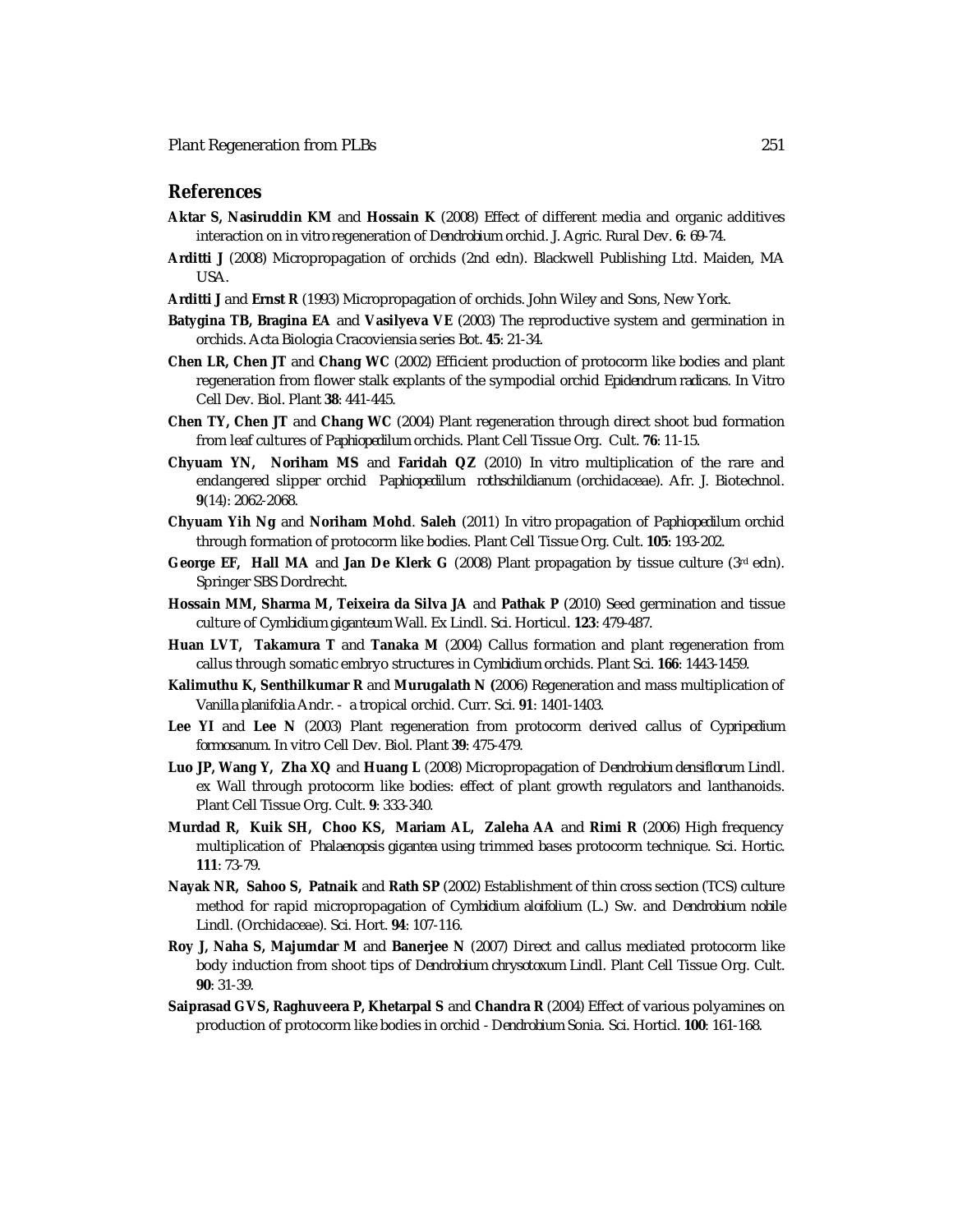Plant Regeneration from PLBs 251

#### **References**

- **Aktar S, Nasiruddin KM** and **Hossain K** (2008) Effect of different media and organic additives interaction on *in vitro* regeneration of *Dendrobium* orchid. J. Agric. Rural Dev. **6**: 69-74.
- **Arditti J** (2008) Micropropagation of orchids (2nd edn). Blackwell Publishing Ltd. Maiden, MA USA.
- **Arditti J** and **Ernst R** (1993) Micropropagation of orchids. John Wiley and Sons, New York.
- **Batygina TB, Bragina EA** and **Vasilyeva VE** (2003) The reproductive system and germination in orchids. Acta Biologia Cracoviensia series Bot. **45**: 21-34.
- **Chen LR, Chen JT** and **Chang WC** (2002) Efficient production of protocorm like bodies and plant regeneration from flower stalk explants of the sympodial orchid *Epidendrum radicans*. In Vitro Cell Dev. Biol. Plant **38**: 441-445.
- **Chen TY, Chen JT** and **Chang WC** (2004) Plant regeneration through direct shoot bud formation from leaf cultures of *Paphiopedilum* orchids. Plant Cell Tissue Org. Cult. **76**: 11-15.
- **Chyuam YN, Noriham MS** and **Faridah QZ** (2010) *In vitro* multiplication of the rare and endangered slipper orchid *Paphiopedilum rothschildianum* (orchidaceae). Afr. J. Biotechnol. **9**(14): 2062-2068.
- **Chyuam Yih Ng** and **Noriham Mohd**. **Saleh** (2011) *In vitro* propagation of *Paphiopedilum* orchid through formation of protocorm like bodies. Plant Cell Tissue Org. Cult. **105**: 193-202.
- Ge**orge EF, Hall MA** and Jan De Klerk G (2008) Plant propagation by tissue culture (3<sup>rd</sup> edn). Springer SBS Dordrecht.
- Hossain MM, Sharma M, Teixeira da Silva JA and Pathak P (2010) Seed germination and tissue culture of *Cymbidium giganteum* Wall. Ex Lindl. Sci. Horticul. **123**: 479-487.
- **Huan LVT, Takamura T** and **Tanaka M** (2004) Callus formation and plant regeneration from callus through somatic embryo structures in *Cymbidium* orchids. Plant Sci. **166**: 1443-1459.
- **Kalimuthu K, Senthilkumar R** and **Murugalath N (**2006) Regeneration and mass multiplication of *Vanilla planifolia* Andr. - a tropical orchid. Curr. Sci. **91**: 1401-1403.
- **Lee YI** and **Lee N** (2003) Plant regeneration from protocorm derived callus of *Cypripedium formosanum*. In vitro Cell Dev. Biol. Plant **39**: 475-479.
- **Luo JP, Wang Y, Zha XQ** and **Huang L** (2008) Micropropagation of *Dendrobium densiflorum* Lindl. ex Wall through protocorm like bodies: effect of plant growth regulators and lanthanoids. Plant Cell Tissue Org. Cult. **9**: 333-340.
- **Murdad R, Kuik SH, Choo KS, Mariam AL, Zaleha AA** and **Rimi R** (2006) High frequency multiplication of *Phalaenopsis gigantea* using trimmed bases protocorm technique. Sci. Hortic. **111**: 73-79.
- **Nayak NR, Sahoo S, Patnaik** and **Rath SP** (2002) Establishment of thin cross section (TCS) culture method for rapid micropropagation of *Cymbidium aloifolium* (L.) Sw. and *Dendrobium nobile* Lindl. (Orchidaceae). Sci. Hort. **94**: 107-116.
- **Roy J, Naha S, Majumdar M** and **Banerjee N** (2007) Direct and callus mediated protocorm like body induction from shoot tips of *Dendrobium chrysotoxum* Lindl. Plant Cell Tissue Org. Cult. **90**: 31-39.
- **Saiprasad GVS, Raghuveera P, Khetarpal S** and **Chandra R** (2004) Effect of various polyamines on production of protocorm like bodies in orchid - *Dendrobium* Sonia. Sci. Horticl. **100**: 161-168.